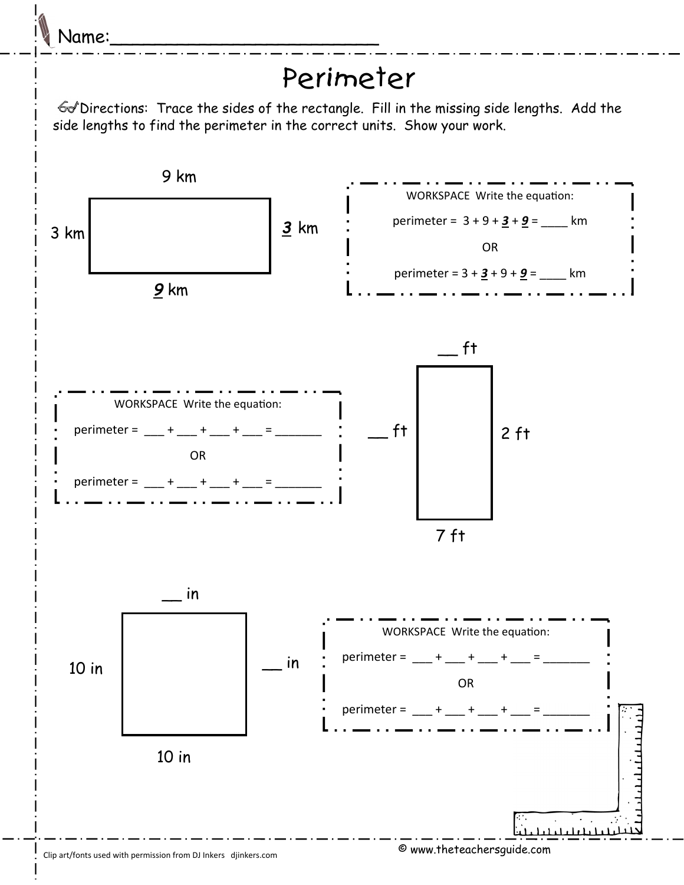

## Perimeter

 Directions: Trace the sides of the rectangle. Fill in the missing side lengths. Add the side lengths to find the perimeter in the correct units. Show your work.